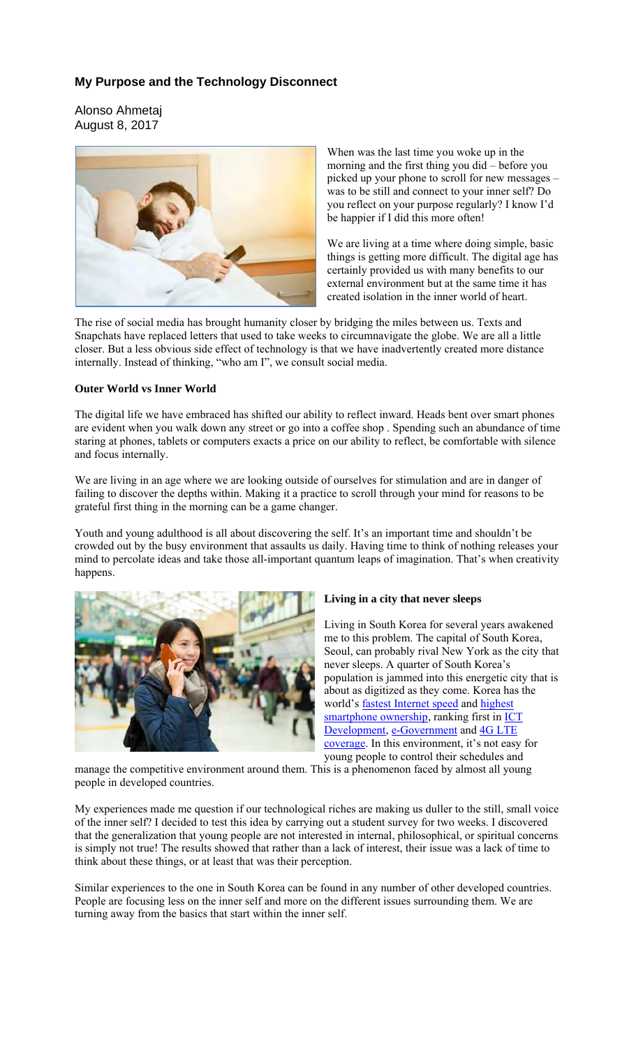# **My Purpose and the Technology Disconnect**

Alonso Ahmetaj August 8, 2017



When was the last time you woke up in the morning and the first thing you did – before you picked up your phone to scroll for new messages – was to be still and connect to your inner self? Do you reflect on your purpose regularly? I know I'd be happier if I did this more often!

We are living at a time where doing simple, basic things is getting more difficult. The digital age has certainly provided us with many benefits to our external environment but at the same time it has created isolation in the inner world of heart.

The rise of social media has brought humanity closer by bridging the miles between us. Texts and Snapchats have replaced letters that used to take weeks to circumnavigate the globe. We are all a little closer. But a less obvious side effect of technology is that we have inadvertently created more distance internally. Instead of thinking, "who am I", we consult social media.

### **Outer World vs Inner World**

The digital life we have embraced has shifted our ability to reflect inward. Heads bent over smart phones are evident when you walk down any street or go into a coffee shop . Spending such an abundance of time staring at phones, tablets or computers exacts a price on our ability to reflect, be comfortable with silence and focus internally.

We are living in an age where we are looking outside of ourselves for stimulation and are in danger of failing to discover the depths within. Making it a practice to scroll through your mind for reasons to be grateful first thing in the morning can be a game changer.

Youth and young adulthood is all about discovering the self. It's an important time and shouldn't be crowded out by the busy environment that assaults us daily. Having time to think of nothing releases your mind to percolate ideas and take those all-important quantum leaps of imagination. That's when creativity happens.



#### **Living in a city that never sleeps**

Living in South Korea for several years awakened me to this problem. The capital of South Korea, Seoul, can probably rival New York as the city that never sleeps. A quarter of South Korea's population is jammed into this energetic city that is about as digitized as they come. Korea has the world's fastest Internet speed and highest smartphone ownership, ranking first in **ICT** Development, e-Government and 4G LTE coverage. In this environment, it's not easy for young people to control their schedules and

manage the competitive environment around them. This is a phenomenon faced by almost all young people in developed countries.

My experiences made me question if our technological riches are making us duller to the still, small voice of the inner self? I decided to test this idea by carrying out a student survey for two weeks. I discovered that the generalization that young people are not interested in internal, philosophical, or spiritual concerns is simply not true! The results showed that rather than a lack of interest, their issue was a lack of time to think about these things, or at least that was their perception.

Similar experiences to the one in South Korea can be found in any number of other developed countries. People are focusing less on the inner self and more on the different issues surrounding them. We are turning away from the basics that start within the inner self.